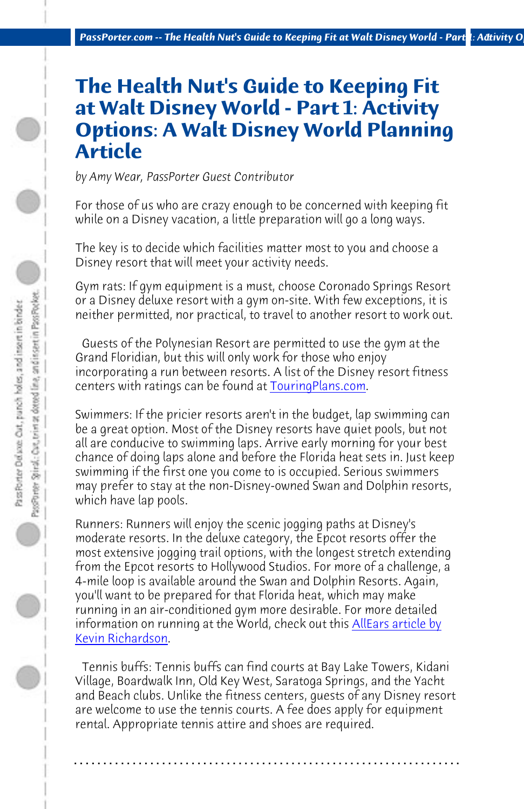*PassPorter.com -- The Health Nut's Guide to Keeping Fit at Walt Disney World - Part 1: Activity Options 1*

## **The Health Nut's Guide to Keeping Fit at Walt Disney World - Part 1: Activity Options: A Walt Dis[ney World](http://touringplans.com/walt-disney-world/hotels/fitness-center-ratings) Planning Article**

*by Amy Wear, PassPorter Guest Contributor*

For those of us who are crazy enough to be concerned with keeping fit while on a Disney vacation, a little preparation will go a long ways.

The key is to decide which facilities matter most to you and choose a Disney resort that will meet your activity needs.

Gym rats: If gym equipment is a must, choose Coronado Springs Resort or a Disney deluxe resort with a gym on-site. With few exceptions, it is neither permitted, nor practical, to travel to another resort to work out.

 Guests of the Polynesian Resort are permitted to use the gym at the Grand Floridian, but this will only work for those who enjoy incorporating a run between resorts. A list of the Disney resort fitness centers with ratings can be found at **TouringPlans.com**.

Swimmers: If the pricier resorts aren't in the budget, lap swimming can be a great option. Most of the Disney resorts have quiet pools, but not all are conducive to swimming laps. Arrive early morning for your best chance of doing laps alone and before the Florida heat sets in. Just keep swimming if the first one you come to is occupied. Serious swimmers may prefer to stay at the non-Disney-owned Swan and Dolphin resorts, which have lap pools.

Runners: Runners will enjoy the scenic jogging paths at Disney's moderate resorts. In the deluxe category, the Epcot resorts offer the most extensive jogging trail options, with the longest stretch extending from the Epcot resorts to Hollywood Studios. For more of a challenge, a 4-mile loop is available around the Swan and Dolphin Resorts. Again, you'll want to be prepared for that Florida heat, which may make running in an air-conditioned gym more desirable. For more detailed information on running at the World, check out this <u>AllEars article by</u> Kevin Richardson.

 Tennis buffs: Tennis buffs can find courts at Bay Lake Towers, Kidani Village, Boardwalk Inn, Old Key West, Saratoga Springs, and the Yacht and Beach clubs. Unlike the fitness centers, guests of any Disney resort are welcome to use the tennis courts. A fee does apply for equipment rental. Appropriate tennis attire and shoes are required.

**. . . . . . . . . . . . . . . . . . . . . . . . . . . . . . . . . . . . . . . . . . . . . . . . . . . . . . . . . . . . . . . . . .**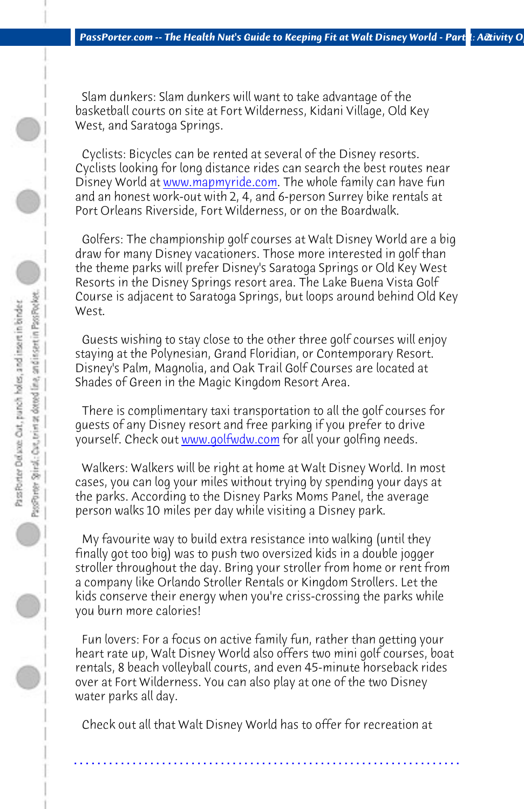PassPeter Deluxe: Out, punch holes, and insert in binder

Cyclists looking for long distance rides can search the best routes near Disney World at www.mapmyride.com. The whole family can have fun and an honest work[-out with 2, 4, and 6](http://www.golfwdw.com)-person Surrey bike rentals at

*PassPorter.com -- The Health Nut's Guide to Keeping Fit at Walt Disney World - Part 1: Activity Opt* 

Port Orleans Riverside, Fort Wilderness, or on the Boardwalk.

 Golfers: The championship golf courses at Walt Disney World are a big draw for many Disney vacationers. Those more interested in golf than the theme parks will prefer Disney's Saratoga Springs or Old Key West Resorts in the Disney Springs resort area. The Lake Buena Vista Golf Course is adjacent to Saratoga Springs, but loops around behind Old Key

 Guests wishing to stay close to the other three golf courses will enjoy staying at the Polynesian, Grand Floridian, or Contemporary Resort. Disney's Palm, Magnolia, and Oak Trail Golf Courses are located at Shades of Green in the Magic Kingdom Resort Area.

 There is complimentary taxi transportation to all the golf courses for guests of any Disney resort and free parking if you prefer to drive yourself. Check out www.golfwdw.com for all your golfing needs.

 Walkers: Walkers will be right at home at Walt Disney World. In most cases, you can log your miles without trying by spending your days at the parks. According to the Disney Parks Moms Panel, the average person walks 10 miles per day while visiting a Disney park.

 My favourite way to build extra resistance into walking (until they finally got too big) was to push two oversized kids in a double jogger stroller throughout the day. Bring your stroller from home or rent from a company like Orlando Stroller Rentals or Kingdom Strollers. Let the kids conserve their energy when you're criss-crossing the parks while you burn more calories!

 Fun lovers: For a focus on active family fun, rather than getting your heart rate up, Walt Disney World also offers two mini golf courses, boat rentals, 8 beach volleyball courts, and even 45-minute horseback rides over at Fort Wilderness. You can also play at one of the two Disney water parks all day.

 Check out all that Walt Disney World has to offer for recreation at